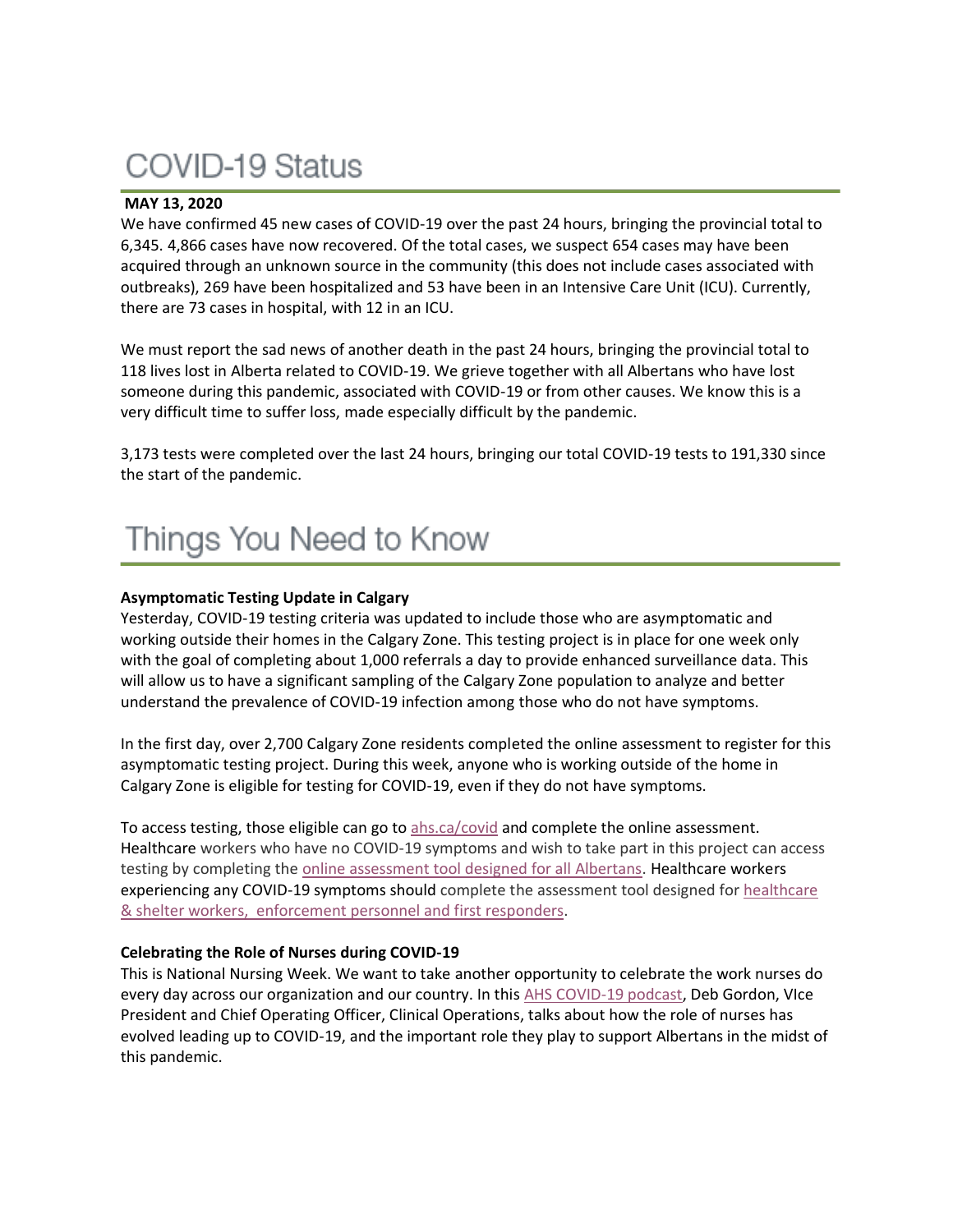# COVID-19 Status

### **MAY 13, 2020**

We have confirmed 45 new cases of COVID-19 over the past 24 hours, bringing the provincial total to 6,345. 4,866 cases have now recovered. Of the total cases, we suspect 654 cases may have been acquired through an unknown source in the community (this does not include cases associated with outbreaks), 269 have been hospitalized and 53 have been in an Intensive Care Unit (ICU). Currently, there are 73 cases in hospital, with 12 in an ICU.

We must report the sad news of another death in the past 24 hours, bringing the provincial total to 118 lives lost in Alberta related to COVID-19. We grieve together with all Albertans who have lost someone during this pandemic, associated with COVID-19 or from other causes. We know this is a very difficult time to suffer loss, made especially difficult by the pandemic.

3,173 tests were completed over the last 24 hours, bringing our total COVID-19 tests to 191,330 since the start of the pandemic.

### **Asymptomatic Testing Update in Calgary**

Yesterday, COVID-19 testing criteria was updated to include those who are asymptomatic and working outside their homes in the Calgary Zone. This testing project is in place for one week only with the goal of completing about 1,000 referrals a day to provide enhanced surveillance data. This will allow us to have a significant sampling of the Calgary Zone population to analyze and better understand the prevalence of COVID-19 infection among those who do not have symptoms.

In the first day, over 2,700 Calgary Zone residents completed the online assessment to register for this asymptomatic testing project. During this week, anyone who is working outside of the home in Calgary Zone is eligible for testing for COVID-19, even if they do not have symptoms.

To access testing, those eligible can go to [ahs.ca/covid](http://www.ahs.ca/Covid) and complete the online assessment. Healthcare workers who have no COVID-19 symptoms and wish to take part in this project can access testing by completing the [online assessment tool designed for all Albertans.](https://myhealth.alberta.ca/Journey/COVID-19/Pages/COVID-Self-Assessment.aspx) Healthcare workers experiencing any COVID-19 symptoms should complete the assessment tool designed for healthcare & shelter workers, [enforcement personnel and first responders.](https://myhealth.alberta.ca/Journey/COVID-19/Pages/HWAssessLanding.aspx)

#### **Celebrating the Role of Nurses during COVID-19**

This is National Nursing Week. We want to take another opportunity to celebrate the work nurses do every day across our organization and our country. In this [AHS COVID-19 podcast,](applewebdata://8136E159-BBEC-4663-ADB2-32E4CC52A9DA/ahs.ca/covidpodcast) Deb Gordon, VIce President and Chief Operating Officer, Clinical Operations, talks about how the role of nurses has evolved leading up to COVID-19, and the important role they play to support Albertans in the midst of this pandemic.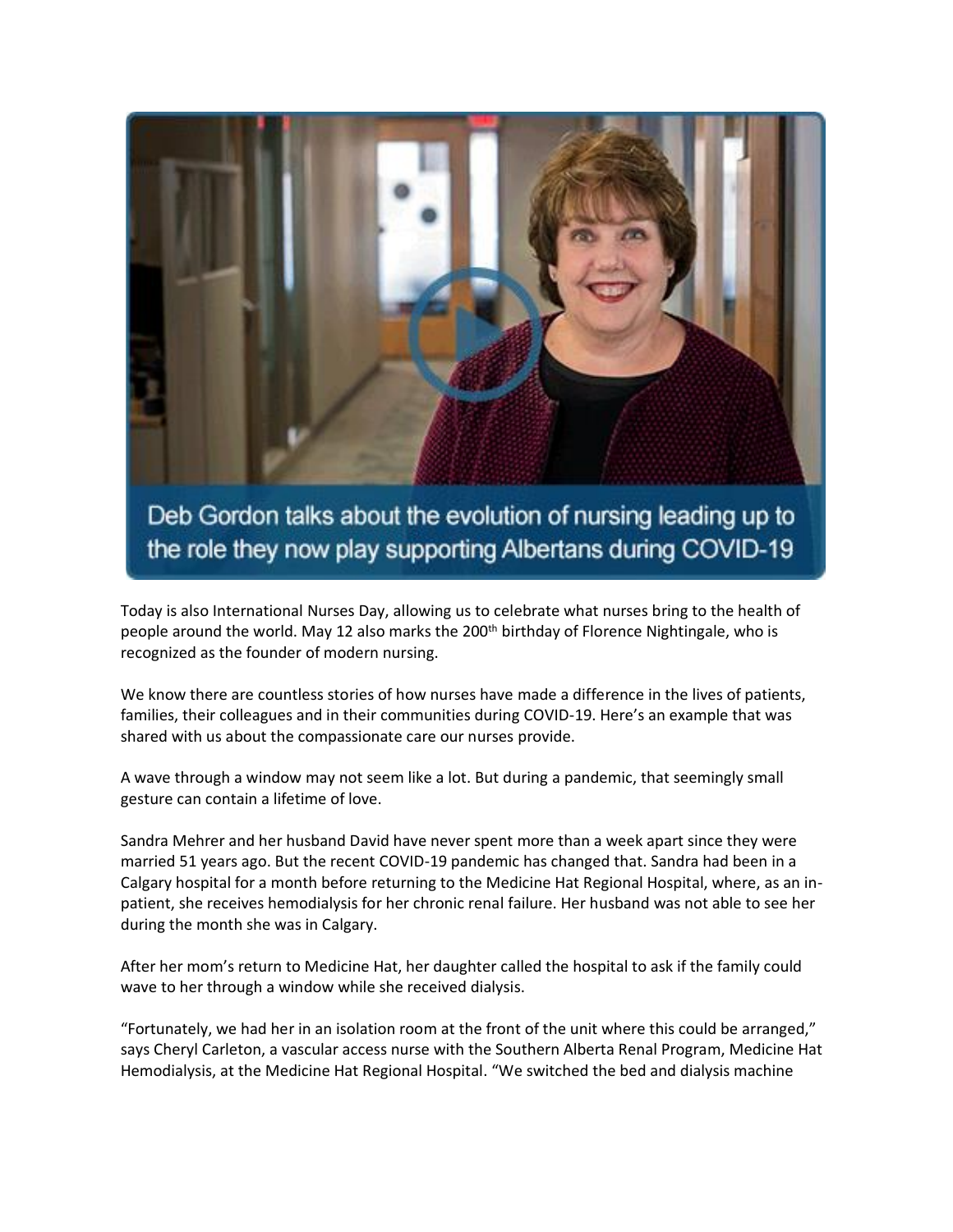

Deb Gordon talks about the evolution of nursing leading up to the role they now play supporting Albertans during COVID-19

Today is also International Nurses Day, allowing us to celebrate what nurses bring to the health of people around the world. May 12 also marks the 200<sup>th</sup> birthday of Florence Nightingale, who is recognized as the founder of modern nursing.

We know there are countless stories of how nurses have made a difference in the lives of patients, families, their colleagues and in their communities during COVID-19. Here's an example that was shared with us about the compassionate care our nurses provide.

A wave through a window may not seem like a lot. But during a pandemic, that seemingly small gesture can contain a lifetime of love.

Sandra Mehrer and her husband David have never spent more than a week apart since they were married 51 years ago. But the recent COVID-19 pandemic has changed that. Sandra had been in a Calgary hospital for a month before returning to the Medicine Hat Regional Hospital, where, as an inpatient, she receives hemodialysis for her chronic renal failure. Her husband was not able to see her during the month she was in Calgary.

After her mom's return to Medicine Hat, her daughter called the hospital to ask if the family could wave to her through a window while she received dialysis.

"Fortunately, we had her in an isolation room at the front of the unit where this could be arranged," says Cheryl Carleton, a vascular access nurse with the Southern Alberta Renal Program, Medicine Hat Hemodialysis, at the Medicine Hat Regional Hospital. "We switched the bed and dialysis machine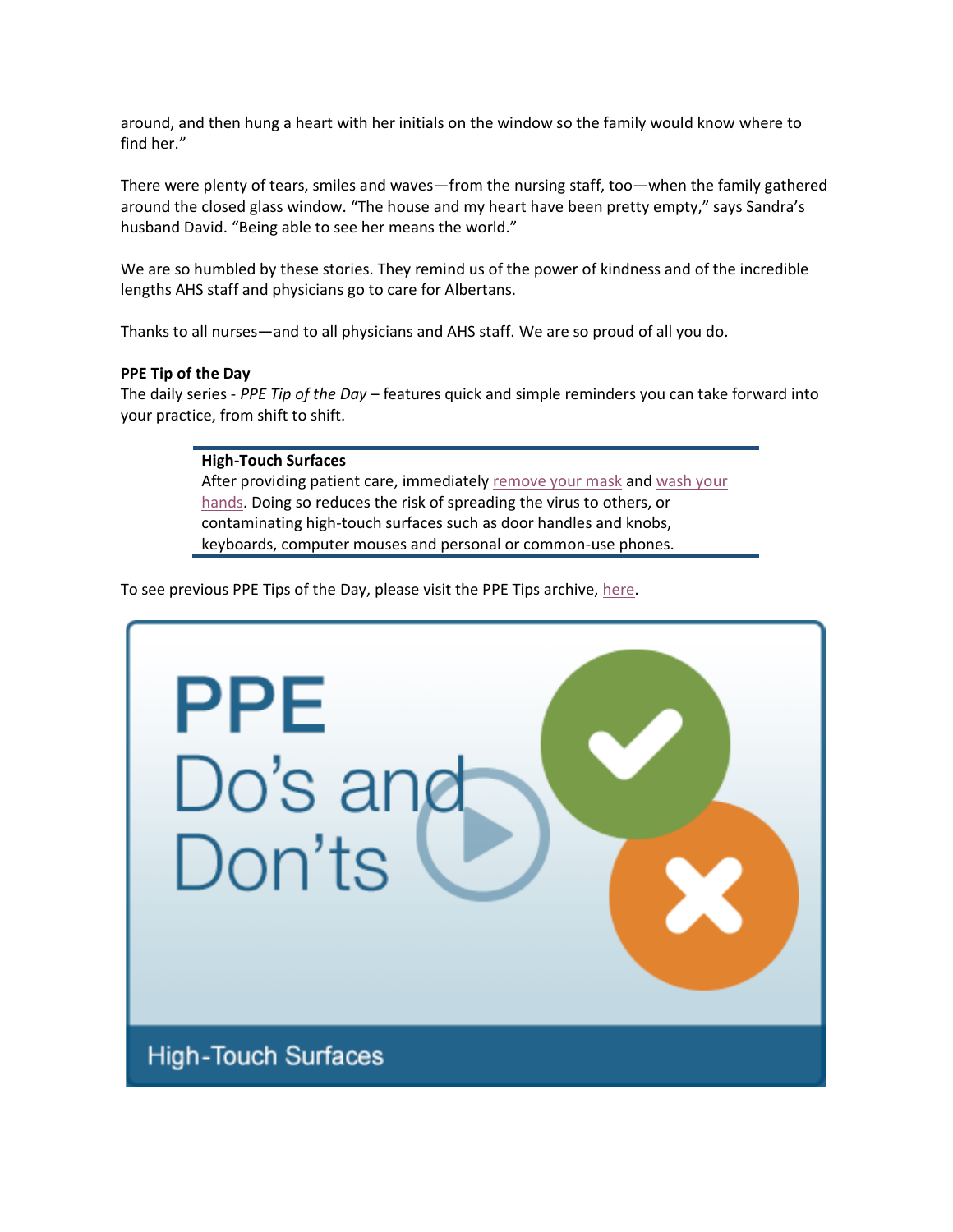around, and then hung a heart with her initials on the window so the family would know where to find her."

There were plenty of tears, smiles and waves—from the nursing staff, too—when the family gathered around the closed glass window. "The house and my heart have been pretty empty," says Sandra's husband David. "Being able to see her means the world."

We are so humbled by these stories. They remind us of the power of kindness and of the incredible lengths AHS staff and physicians go to care for Albertans.

Thanks to all nurses—and to all physicians and AHS staff. We are so proud of all you do.

#### **PPE Tip of the Day**

The daily series - *PPE Tip of the Day* – features quick and simple reminders you can take forward into your practice, from shift to shift.

#### **High-Touch Surfaces**

After providing patient care, immediately [remove your mask](https://www.albertahealthservices.ca/assets/Infofor/hp/if-hp-ipc-doffing-ppe-poster.pdf) and [wash your](https://www.albertahealthservices.ca/assets/healthinfo/ipc/if-hp-ipc-flu-handwash-how-to.pdf)  [hands.](https://www.albertahealthservices.ca/assets/healthinfo/ipc/if-hp-ipc-flu-handwash-how-to.pdf) Doing so reduces the risk of spreading the virus to others, or contaminating high-touch surfaces such as door handles and knobs, keyboards, computer mouses and personal or common-use phones.

To see previous PPE Tips of the Day, please visit the PPE Tips archive, [here.](https://www.albertahealthservices.ca/topics/Page17119.aspx)

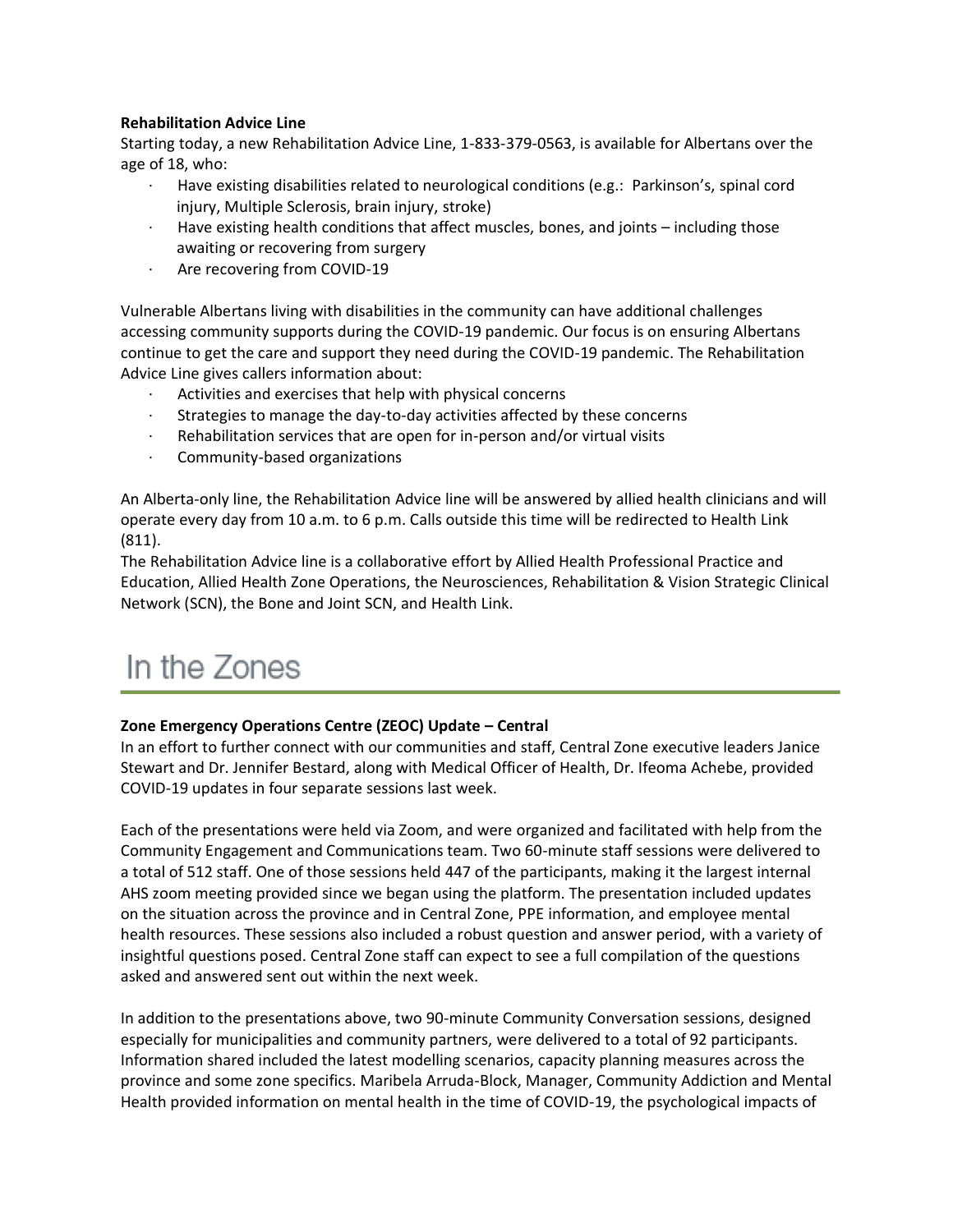#### **Rehabilitation Advice Line**

Starting today, a new Rehabilitation Advice Line, 1-833-379-0563, is available for Albertans over the age of 18, who:

- Have existing disabilities related to neurological conditions (e.g.: Parkinson's, spinal cord injury, Multiple Sclerosis, brain injury, stroke)
- Have existing health conditions that affect muscles, bones, and joints including those awaiting or recovering from surgery
- Are recovering from COVID-19

Vulnerable Albertans living with disabilities in the community can have additional challenges accessing community supports during the COVID-19 pandemic. Our focus is on ensuring Albertans continue to get the care and support they need during the COVID-19 pandemic. The Rehabilitation Advice Line gives callers information about:

- Activities and exercises that help with physical concerns
- Strategies to manage the day-to-day activities affected by these concerns
- Rehabilitation services that are open for in-person and/or virtual visits
- Community-based organizations

An Alberta-only line, the Rehabilitation Advice line will be answered by allied health clinicians and will operate every day from 10 a.m. to 6 p.m. Calls outside this time will be redirected to Health Link (811).

The Rehabilitation Advice line is a collaborative effort by Allied Health Professional Practice and Education, Allied Health Zone Operations, the Neurosciences, Rehabilitation & Vision Strategic Clinical Network (SCN), the Bone and Joint SCN, and Health Link.

## In the Zones

### **Zone Emergency Operations Centre (ZEOC) Update – Central**

In an effort to further connect with our communities and staff, Central Zone executive leaders Janice Stewart and Dr. Jennifer Bestard, along with Medical Officer of Health, Dr. Ifeoma Achebe, provided COVID-19 updates in four separate sessions last week.

Each of the presentations were held via Zoom, and were organized and facilitated with help from the Community Engagement and Communications team. Two 60-minute staff sessions were delivered to a total of 512 staff. One of those sessions held 447 of the participants, making it the largest internal AHS zoom meeting provided since we began using the platform. The presentation included updates on the situation across the province and in Central Zone, PPE information, and employee mental health resources. These sessions also included a robust question and answer period, with a variety of insightful questions posed. Central Zone staff can expect to see a full compilation of the questions asked and answered sent out within the next week.

In addition to the presentations above, two 90-minute Community Conversation sessions, designed especially for municipalities and community partners, were delivered to a total of 92 participants. Information shared included the latest modelling scenarios, capacity planning measures across the province and some zone specifics. Maribela Arruda-Block, Manager, Community Addiction and Mental Health provided information on mental health in the time of COVID-19, the psychological impacts of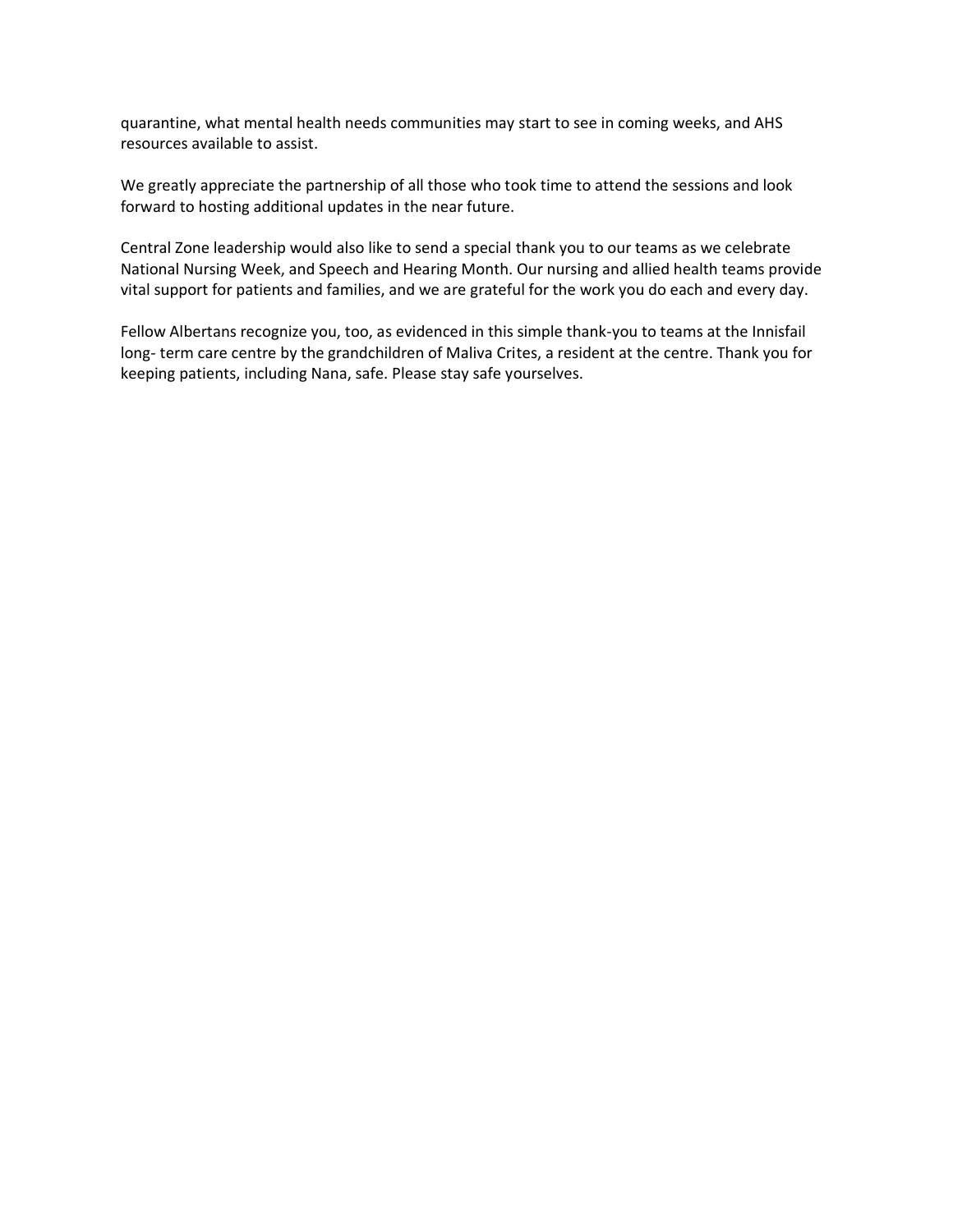quarantine, what mental health needs communities may start to see in coming weeks, and AHS resources available to assist.

We greatly appreciate the partnership of all those who took time to attend the sessions and look forward to hosting additional updates in the near future.

Central Zone leadership would also like to send a special thank you to our teams as we celebrate National Nursing Week, and Speech and Hearing Month. Our nursing and allied health teams provide vital support for patients and families, and we are grateful for the work you do each and every day.

Fellow Albertans recognize you, too, as evidenced in this simple thank-you to teams at the Innisfail long- term care centre by the grandchildren of Maliva Crites, a resident at the centre. Thank you for keeping patients, including Nana, safe. Please stay safe yourselves.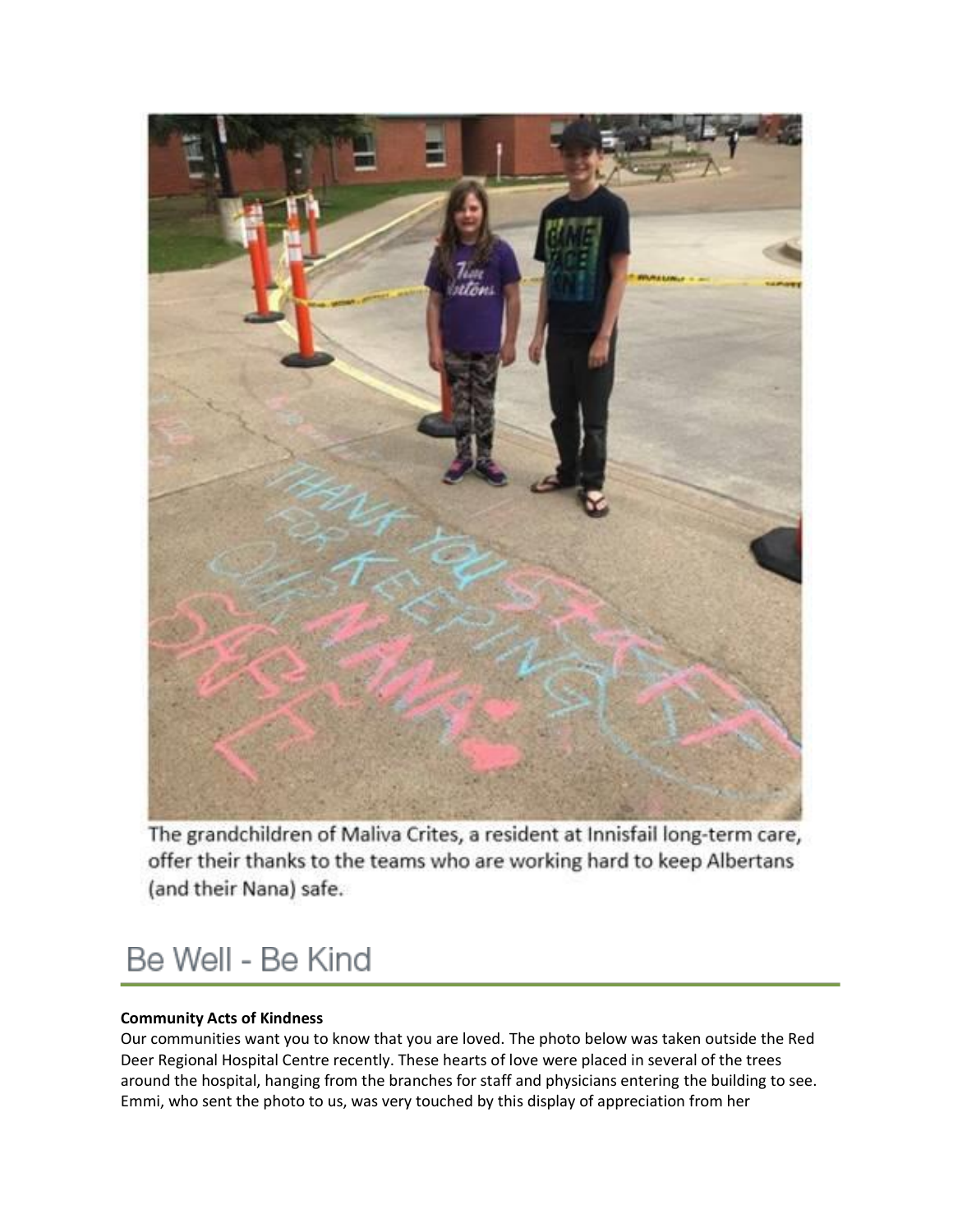

The grandchildren of Maliva Crites, a resident at Innisfail long-term care, offer their thanks to the teams who are working hard to keep Albertans (and their Nana) safe.

### Be Well - Be Kind

#### **Community Acts of Kindness**

Our communities want you to know that you are loved. The photo below was taken outside the Red Deer Regional Hospital Centre recently. These hearts of love were placed in several of the trees around the hospital, hanging from the branches for staff and physicians entering the building to see. Emmi, who sent the photo to us, was very touched by this display of appreciation from her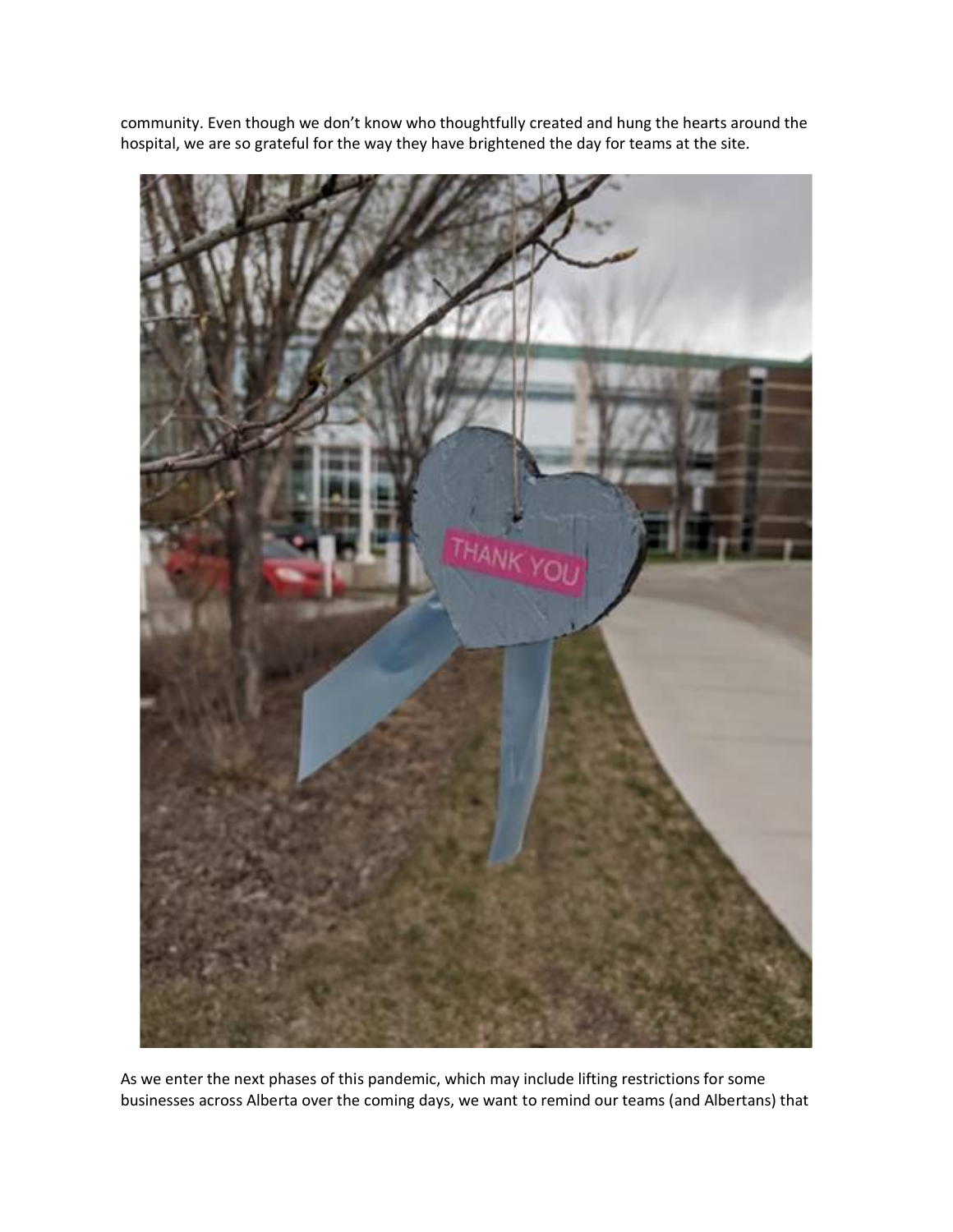

community. Even though we don't know who thoughtfully created and hung the hearts around the hospital, we are so grateful for the way they have brightened the day for teams at the site.

As we enter the next phases of this pandemic, which may include lifting restrictions for some businesses across Alberta over the coming days, we want to remind our teams (and Albertans) that